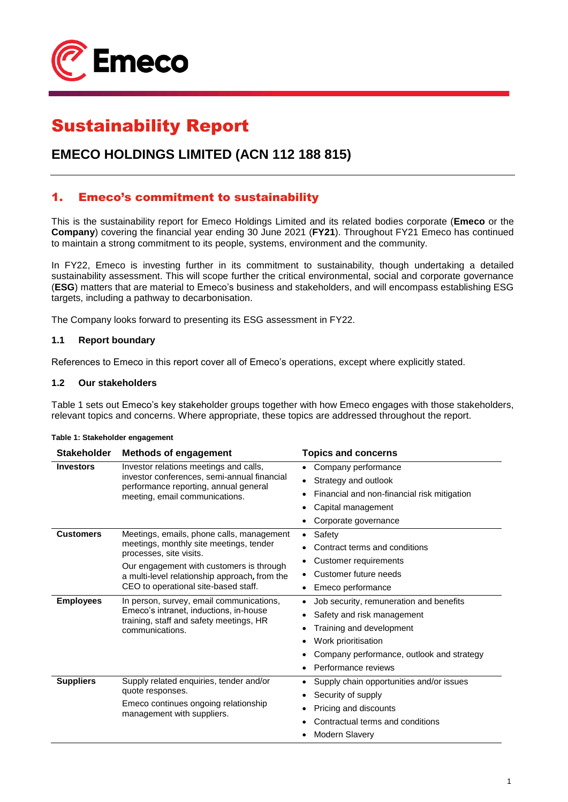

# Sustainability Report

# **EMECO HOLDINGS LIMITED (ACN 112 188 815)**

## 1. Emeco's commitment to sustainability

This is the sustainability report for Emeco Holdings Limited and its related bodies corporate (**Emeco** or the **Company**) covering the financial year ending 30 June 2021 (**FY21**). Throughout FY21 Emeco has continued to maintain a strong commitment to its people, systems, environment and the community.

In FY22, Emeco is investing further in its commitment to sustainability, though undertaking a detailed sustainability assessment. This will scope further the critical environmental, social and corporate governance (**ESG**) matters that are material to Emeco's business and stakeholders, and will encompass establishing ESG targets, including a pathway to decarbonisation.

The Company looks forward to presenting its ESG assessment in FY22.

#### **1.1 Report boundary**

References to Emeco in this report cover all of Emeco's operations, except where explicitly stated.

#### **1.2 Our stakeholders**

Table 1 sets out Emeco's key stakeholder groups together with how Emeco engages with those stakeholders, relevant topics and concerns. Where appropriate, these topics are addressed throughout the report.

| <b>Stakeholder</b> | <b>Methods of engagement</b>                                                                                                                     | <b>Topics and concerns</b>                                                                        |                                           |  |  |                          |
|--------------------|--------------------------------------------------------------------------------------------------------------------------------------------------|---------------------------------------------------------------------------------------------------|-------------------------------------------|--|--|--------------------------|
| <b>Investors</b>   | Investor relations meetings and calls,                                                                                                           | Company performance<br>$\bullet$                                                                  |                                           |  |  |                          |
|                    | investor conferences, semi-annual financial<br>performance reporting, annual general                                                             | Strategy and outlook<br>٠<br>Financial and non-financial risk mitigation<br>Capital management    |                                           |  |  |                          |
|                    | meeting, email communications.                                                                                                                   |                                                                                                   |                                           |  |  |                          |
|                    |                                                                                                                                                  |                                                                                                   |                                           |  |  |                          |
|                    |                                                                                                                                                  | Corporate governance                                                                              |                                           |  |  |                          |
| <b>Customers</b>   | Meetings, emails, phone calls, management                                                                                                        | Safety<br>٠                                                                                       |                                           |  |  |                          |
|                    | meetings, monthly site meetings, tender<br>processes, site visits.                                                                               | Contract terms and conditions                                                                     |                                           |  |  |                          |
|                    | Our engagement with customers is through                                                                                                         | Customer requirements                                                                             |                                           |  |  |                          |
|                    | a multi-level relationship approach, from the                                                                                                    | Customer future needs                                                                             |                                           |  |  |                          |
|                    | CEO to operational site-based staff.                                                                                                             | Emeco performance                                                                                 |                                           |  |  |                          |
| <b>Employees</b>   | In person, survey, email communications,<br>Emeco's intranet, inductions, in-house<br>training, staff and safety meetings, HR<br>communications. | Job security, remuneration and benefits<br>Safety and risk management<br>Training and development |                                           |  |  |                          |
|                    |                                                                                                                                                  |                                                                                                   |                                           |  |  |                          |
|                    |                                                                                                                                                  |                                                                                                   |                                           |  |  | Work prioritisation<br>٠ |
|                    |                                                                                                                                                  |                                                                                                   | Company performance, outlook and strategy |  |  |                          |
|                    |                                                                                                                                                  | Performance reviews                                                                               |                                           |  |  |                          |
| <b>Suppliers</b>   | Supply related enquiries, tender and/or                                                                                                          | Supply chain opportunities and/or issues<br>٠                                                     |                                           |  |  |                          |
|                    | quote responses.<br>Emeco continues ongoing relationship<br>management with suppliers.                                                           | Security of supply                                                                                |                                           |  |  |                          |
|                    |                                                                                                                                                  | Pricing and discounts                                                                             |                                           |  |  |                          |
|                    |                                                                                                                                                  | Contractual terms and conditions                                                                  |                                           |  |  |                          |
|                    |                                                                                                                                                  | <b>Modern Slavery</b>                                                                             |                                           |  |  |                          |

#### **Table 1: Stakeholder engagement**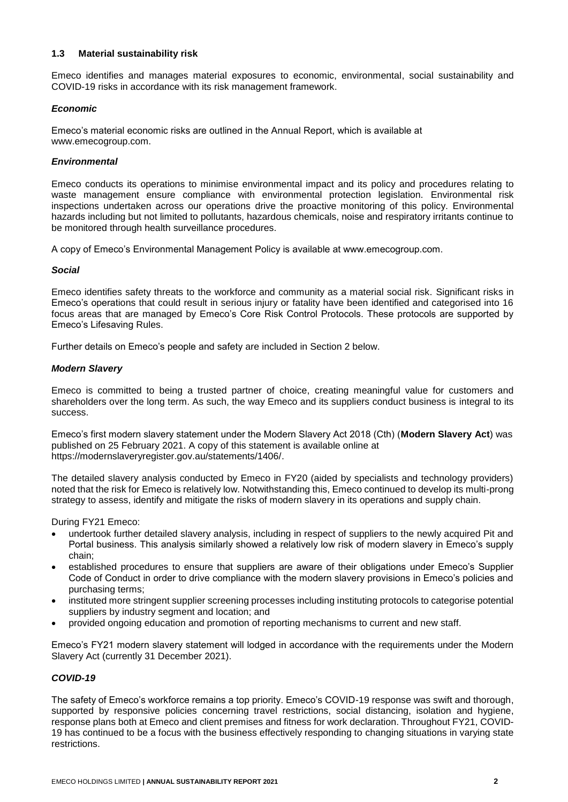#### **1.3 Material sustainability risk**

Emeco identifies and manages material exposures to economic, environmental, social sustainability and COVID-19 risks in accordance with its risk management framework.

#### *Economic*

Emeco's material economic risks are outlined in the Annual Report, which is available at www.emecogroup.com.

#### *Environmental*

Emeco conducts its operations to minimise environmental impact and its policy and procedures relating to waste management ensure compliance with environmental protection legislation. Environmental risk inspections undertaken across our operations drive the proactive monitoring of this policy. Environmental hazards including but not limited to pollutants, hazardous chemicals, noise and respiratory irritants continue to be monitored through health surveillance procedures.

A copy of Emeco's Environmental Management Policy is available at www.emecogroup.com.

#### *Social*

Emeco identifies safety threats to the workforce and community as a material social risk. Significant risks in Emeco's operations that could result in serious injury or fatality have been identified and categorised into 16 focus areas that are managed by Emeco's Core Risk Control Protocols. These protocols are supported by Emeco's Lifesaving Rules.

Further details on Emeco's people and safety are included in Section 2 below.

#### *Modern Slavery*

Emeco is committed to being a trusted partner of choice, creating meaningful value for customers and shareholders over the long term. As such, the way Emeco and its suppliers conduct business is integral to its success.

Emeco's first modern slavery statement under the Modern Slavery Act 2018 (Cth) (**Modern Slavery Act**) was published on 25 February 2021. A copy of this statement is available online at https://modernslaveryregister.gov.au/statements/1406/.

The detailed slavery analysis conducted by Emeco in FY20 (aided by specialists and technology providers) noted that the risk for Emeco is relatively low. Notwithstanding this, Emeco continued to develop its multi-prong strategy to assess, identify and mitigate the risks of modern slavery in its operations and supply chain.

During FY21 Emeco:

- undertook further detailed slavery analysis, including in respect of suppliers to the newly acquired Pit and Portal business. This analysis similarly showed a relatively low risk of modern slavery in Emeco's supply chain;
- established procedures to ensure that suppliers are aware of their obligations under Emeco's Supplier Code of Conduct in order to drive compliance with the modern slavery provisions in Emeco's policies and purchasing terms;
- instituted more stringent supplier screening processes including instituting protocols to categorise potential suppliers by industry segment and location; and
- provided ongoing education and promotion of reporting mechanisms to current and new staff.

Emeco's FY21 modern slavery statement will lodged in accordance with the requirements under the Modern Slavery Act (currently 31 December 2021).

#### *COVID-19*

The safety of Emeco's workforce remains a top priority. Emeco's COVID-19 response was swift and thorough, supported by responsive policies concerning travel restrictions, social distancing, isolation and hygiene, response plans both at Emeco and client premises and fitness for work declaration. Throughout FY21, COVID-19 has continued to be a focus with the business effectively responding to changing situations in varying state restrictions.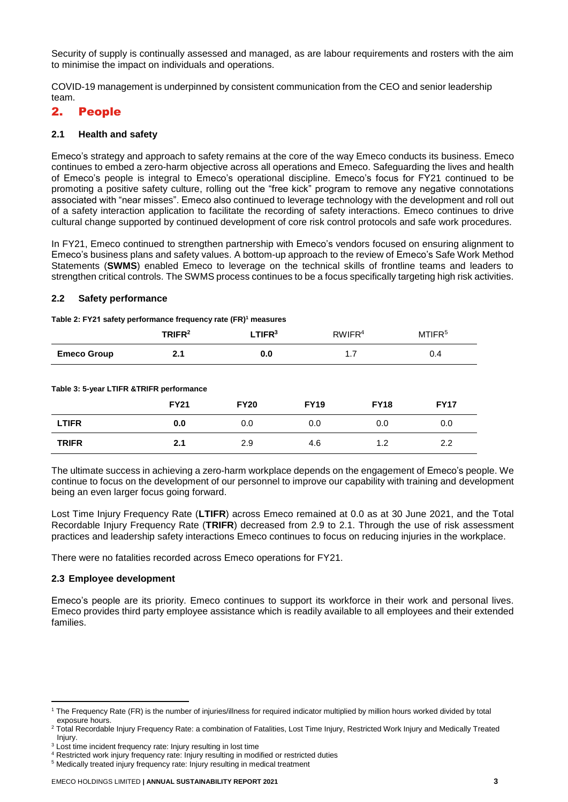Security of supply is continually assessed and managed, as are labour requirements and rosters with the aim to minimise the impact on individuals and operations.

COVID-19 management is underpinned by consistent communication from the CEO and senior leadership team.

## 2. People

#### **2.1 Health and safety**

Emeco's strategy and approach to safety remains at the core of the way Emeco conducts its business. Emeco continues to embed a zero-harm objective across all operations and Emeco. Safeguarding the lives and health of Emeco's people is integral to Emeco's operational discipline. Emeco's focus for FY21 continued to be promoting a positive safety culture, rolling out the "free kick" program to remove any negative connotations associated with "near misses". Emeco also continued to leverage technology with the development and roll out of a safety interaction application to facilitate the recording of safety interactions. Emeco continues to drive cultural change supported by continued development of core risk control protocols and safe work procedures.

In FY21, Emeco continued to strengthen partnership with Emeco's vendors focused on ensuring alignment to Emeco's business plans and safety values. A bottom-up approach to the review of Emeco's Safe Work Method Statements (**SWMS**) enabled Emeco to leverage on the technical skills of frontline teams and leaders to strengthen critical controls. The SWMS process continues to be a focus specifically targeting high risk activities.

#### **2.2 Safety performance**

# **TRIFR<sup>2</sup> LTIFR<sup>3</sup>** RWIFR<sup>4</sup> MTIFR<sup>5</sup> **Emeco Group 2.1 0.0** 1.7 0.4

|  |  | Table 3: 5-year LTIFR & TRIFR performance |
|--|--|-------------------------------------------|

**Table 2: FY21 safety performance frequency rate (FR)<sup>1</sup> measures** 

| Table 3. 3-year Lin K & HM K performance |             |             |             |             |             |  |  |  |
|------------------------------------------|-------------|-------------|-------------|-------------|-------------|--|--|--|
|                                          | <b>FY21</b> | <b>FY20</b> | <b>FY19</b> | <b>FY18</b> | <b>FY17</b> |  |  |  |
| <b>LTIFR</b>                             | 0.0         | 0.0         | 0.0         | 0.0         | 0.0         |  |  |  |
| <b>TRIFR</b>                             | 2.1         | 2.9         | 4.6         | 1.2         | 2.2         |  |  |  |

The ultimate success in achieving a zero-harm workplace depends on the engagement of Emeco's people. We continue to focus on the development of our personnel to improve our capability with training and development being an even larger focus going forward.

Lost Time Injury Frequency Rate (**LTIFR**) across Emeco remained at 0.0 as at 30 June 2021, and the Total Recordable Injury Frequency Rate (**TRIFR**) decreased from 2.9 to 2.1. Through the use of risk assessment practices and leadership safety interactions Emeco continues to focus on reducing injuries in the workplace.

There were no fatalities recorded across Emeco operations for FY21.

#### **2.3 Employee development**

Emeco's people are its priority. Emeco continues to support its workforce in their work and personal lives. Emeco provides third party employee assistance which is readily available to all employees and their extended families.

<sup>1</sup> The Frequency Rate (FR) is the number of injuries/illness for required indicator multiplied by million hours worked divided by total exposure hours.

<sup>&</sup>lt;sup>2</sup> Total Recordable Injury Frequency Rate: a combination of Fatalities, Lost Time Injury, Restricted Work Injury and Medically Treated Injury.

<sup>&</sup>lt;sup>3</sup> Lost time incident frequency rate: Injury resulting in lost time

<sup>4</sup> Restricted work injury frequency rate: Injury resulting in modified or restricted duties

<sup>&</sup>lt;sup>5</sup> Medically treated injury frequency rate: Injury resulting in medical treatment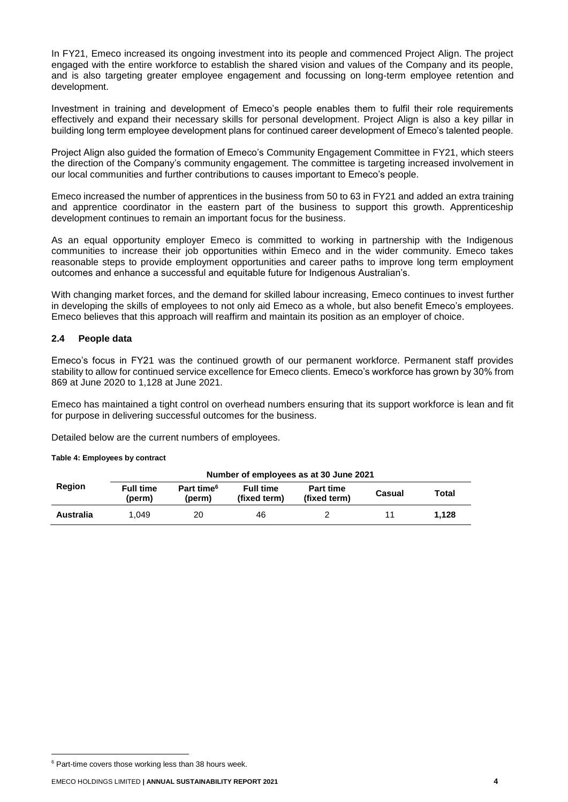In FY21, Emeco increased its ongoing investment into its people and commenced Project Align. The project engaged with the entire workforce to establish the shared vision and values of the Company and its people, and is also targeting greater employee engagement and focussing on long-term employee retention and development.

Investment in training and development of Emeco's people enables them to fulfil their role requirements effectively and expand their necessary skills for personal development. Project Align is also a key pillar in building long term employee development plans for continued career development of Emeco's talented people.

Project Align also guided the formation of Emeco's Community Engagement Committee in FY21, which steers the direction of the Company's community engagement. The committee is targeting increased involvement in our local communities and further contributions to causes important to Emeco's people.

Emeco increased the number of apprentices in the business from 50 to 63 in FY21 and added an extra training and apprentice coordinator in the eastern part of the business to support this growth. Apprenticeship development continues to remain an important focus for the business.

As an equal opportunity employer Emeco is committed to working in partnership with the Indigenous communities to increase their job opportunities within Emeco and in the wider community. Emeco takes reasonable steps to provide employment opportunities and career paths to improve long term employment outcomes and enhance a successful and equitable future for Indigenous Australian's.

With changing market forces, and the demand for skilled labour increasing, Emeco continues to invest further in developing the skills of employees to not only aid Emeco as a whole, but also benefit Emeco's employees. Emeco believes that this approach will reaffirm and maintain its position as an employer of choice.

#### **2.4 People data**

Emeco's focus in FY21 was the continued growth of our permanent workforce. Permanent staff provides stability to allow for continued service excellence for Emeco clients. Emeco's workforce has grown by 30% from 869 at June 2020 to 1,128 at June 2021.

Emeco has maintained a tight control on overhead numbers ensuring that its support workforce is lean and fit for purpose in delivering successful outcomes for the business.

Detailed below are the current numbers of employees.

#### **Table 4: Employees by contract**

|           | Number of employees as at 30 June 2021 |                                  |                                  |                                  |        |       |  |
|-----------|----------------------------------------|----------------------------------|----------------------------------|----------------------------------|--------|-------|--|
| Region    | <b>Full time</b><br>(perm)             | Part time <sup>6</sup><br>(perm) | <b>Full time</b><br>(fixed term) | <b>Part time</b><br>(fixed term) | Casual | Total |  |
| Australia | 1.049                                  | 20                               | 46                               |                                  |        | 1.128 |  |

<sup>&</sup>lt;sup>6</sup> Part-time covers those working less than 38 hours week.

EMECO HOLDINGS LIMITED **| ANNUAL SUSTAINABILITY REPORT 2021 4**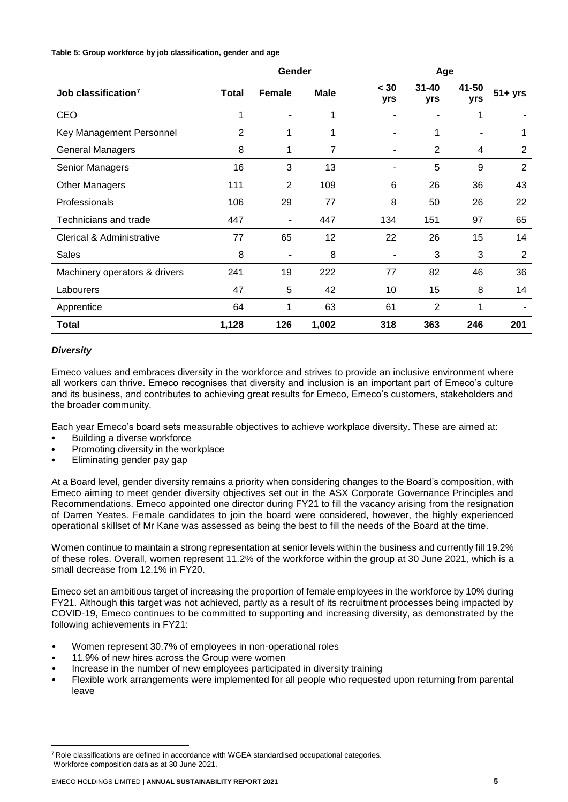#### **Table 5: Group workforce by job classification, gender and age**

|                                 |       | Gender         |                |             | Age              |              |                |
|---------------------------------|-------|----------------|----------------|-------------|------------------|--------------|----------------|
| Job classification <sup>7</sup> | Total | <b>Female</b>  | <b>Male</b>    | < 30<br>yrs | $31 - 40$<br>yrs | 41-50<br>yrs | $51 + yrs$     |
| CEO                             | 1     |                | 1              |             |                  |              |                |
| Key Management Personnel        | 2     | 1              | 1              | ۰           | 1                | ۰            | 1              |
| <b>General Managers</b>         | 8     | 1              | $\overline{7}$ |             | 2                | 4            | 2              |
| Senior Managers                 | 16    | 3              | 13             | ۰           | 5                | 9            | 2              |
| <b>Other Managers</b>           | 111   | $\overline{2}$ | 109            | 6           | 26               | 36           | 43             |
| Professionals                   | 106   | 29             | 77             | 8           | 50               | 26           | 22             |
| Technicians and trade           | 447   | ۰              | 447            | 134         | 151              | 97           | 65             |
| Clerical & Administrative       | 77    | 65             | 12             | 22          | 26               | 15           | 14             |
| <b>Sales</b>                    | 8     | ٠              | 8              | ۰           | 3                | 3            | $\overline{2}$ |
| Machinery operators & drivers   | 241   | 19             | 222            | 77          | 82               | 46           | 36             |
| Labourers                       | 47    | 5              | 42             | 10          | 15               | 8            | 14             |
| Apprentice                      | 64    | 1              | 63             | 61          | 2                | 1            |                |
| Total                           | 1,128 | 126            | 1,002          | 318         | 363              | 246          | 201            |

#### *Diversity*

Emeco values and embraces diversity in the workforce and strives to provide an inclusive environment where all workers can thrive. Emeco recognises that diversity and inclusion is an important part of Emeco's culture and its business, and contributes to achieving great results for Emeco, Emeco's customers, stakeholders and the broader community.

Each year Emeco's board sets measurable objectives to achieve workplace diversity. These are aimed at:

- Building a diverse workforce
- Promoting diversity in the workplace
- Eliminating gender pay gap

At a Board level, gender diversity remains a priority when considering changes to the Board's composition, with Emeco aiming to meet gender diversity objectives set out in the ASX Corporate Governance Principles and Recommendations. Emeco appointed one director during FY21 to fill the vacancy arising from the resignation of Darren Yeates. Female candidates to join the board were considered, however, the highly experienced operational skillset of Mr Kane was assessed as being the best to fill the needs of the Board at the time.

Women continue to maintain a strong representation at senior levels within the business and currently fill 19.2% of these roles. Overall, women represent 11.2% of the workforce within the group at 30 June 2021, which is a small decrease from 12.1% in FY20.

Emeco set an ambitious target of increasing the proportion of female employees in the workforce by 10% during FY21. Although this target was not achieved, partly as a result of its recruitment processes being impacted by COVID-19, Emeco continues to be committed to supporting and increasing diversity, as demonstrated by the following achievements in FY21:

- Women represent 30.7% of employees in non-operational roles
- 11.9% of new hires across the Group were women
- Increase in the number of new employees participated in diversity training
- Flexible work arrangements were implemented for all people who requested upon returning from parental leave

 $7$  Role classifications are defined in accordance with WGEA standardised occupational categories. Workforce composition data as at 30 June 2021.